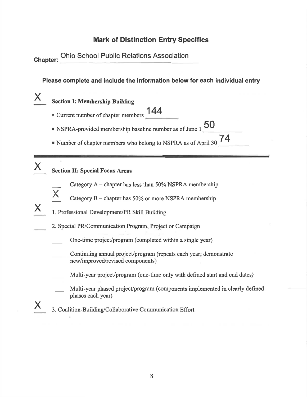# **Mark of Distinction Entry Specifics**

Chapter: Ohio School Public Relations Association

Please complete and include the information below for each individual entry

**Section I: Membership Building** 

- 144 ■ Current number of chapter members
- " NSPRA-provided membership baseline number as of June 1
- 74 " Number of chapter members who belong to NSPRA as of April 30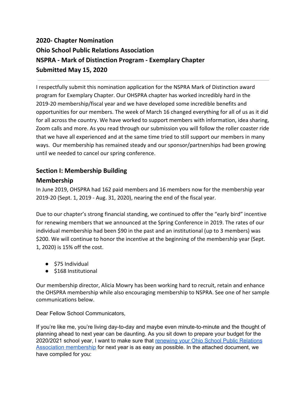# **2020- Chapter Nomination Ohio School Public Relations Association NSPRA - Mark of Distinction Program - Exemplary Chapter Submitted May 15, 2020**

I respectfully submit this nomination application for the NSPRA Mark of Distinction award program for Exemplary Chapter. Our OHSPRA chapter has worked incredibly hard in the 2019-20 membership/fiscal year and we have developed some incredible benefits and opportunities for our members. The week of March 16 changed everything for all of us as it did for all across the country. We have worked to support members with information, idea sharing, Zoom calls and more. As you read through our submission you will follow the roller coaster ride that we have all experienced and at the same time tried to still support our members in many ways. Our membership has remained steady and our sponsor/partnerships had been growing until we needed to cancel our spring conference.

# **Section I: Membership Building**

## **Membership**

In June 2019, OHSPRA had 162 paid members and 16 members now for the membership year 2019-20 (Sept. 1, 2019 - Aug. 31, 2020), nearing the end of the fiscal year.

Due to our chapter's strong financial standing, we continued to offer the "early bird" incentive for renewing members that we announced at the Spring Conference in 2019. The rates of our individual membership had been \$90 in the past and an institutional (up to 3 members) was \$200. We will continue to honor the incentive at the beginning of the membership year (Sept. 1, 2020) is 15% off the cost.

- \$75 Individual
- \$168 Institutional

Our membership director, Alicia Mowry has been working hard to recruit, retain and enhance the OHSPRA membership while also encouraging membership to NSPRA. See one of her sample communications below.

Dear Fellow School Communicators,

If you're like me, you're living day-to-day and maybe even minute-to-minute and the thought of planning ahead to next year can be daunting. As you sit down to prepare your budget for the 2020/2021 school year, I want to make sure that renewing your Ohio School Public [Relations](https://www.ohspra.org/JoinToday.aspx) Association [membership](https://www.ohspra.org/JoinToday.aspx) for next year is as easy as possible. In the attached document, we have compiled for you: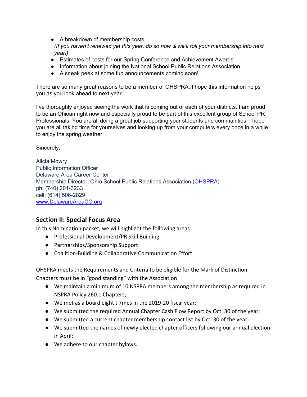● A breakdown of membership costs

*(If you haven't renewed yet this year, do so now & we'll roll your membership into next year!)*

- Estimates of costs for our Spring Conference and Achievement Awards
- Information about joining the National School Public Relations Association
- A sneak peek at some fun announcements coming soon!

There are so many great reasons to be a member of OHSPRA. I hope this information helps you as you look ahead to next year.

I've thoroughly enjoyed seeing the work that is coming out of each of your districts. I am proud to be an Ohioan right now and especially proud to be part of this excellent group of School PR Professionals. You are all doing a great job supporting your students and communities. I hope you are all taking time for yourselves and looking up from your computers every once in a while to enjoy the spring weather.

Sincerely,

Alicia Mowry Public Information Officer Delaware Area Career Center Membership Director, Ohio School Public Relations Association ([OHSPRA](http://goo.gl/o6nwTH)) ph: (740) 201-3233 cell: (614) 506-2829 [www.DelawareAreaCC.org](http://www.delawareareacc.org/)

## **Section II: Special Focus Area**

In this Nomination packet, we will highlight the following areas:

- Professional Development/PR Skill Building
- Partnerships/Sponsorship Support
- Coalition-Building & Collaborative Communication Effort

OHSPRA meets the Requirements and Criteria to be eligible for the Mark of Distinction Chapters must be in "good standing" with the Association

- We maintain a minimum of 10 NSPRA members among the membership as required in NSPRA Policy 260.1 Chapters;
- We met as a board eight ti7mes in the 2019-20 fiscal year;
- We submitted the required Annual Chapter Cash Flow Report by Oct. 30 of the year;
- We submitted a current chapter membership contact list by Oct. 30 of the year;
- We submitted the names of newly elected chapter officers following our annual election in April;
- We adhere to our chapter bylaws.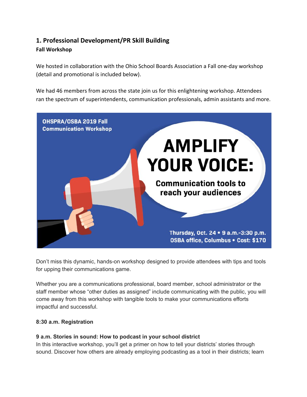# **1. Professional Development/PR Skill Building Fall Workshop**

We hosted in collaboration with the Ohio School Boards Association a Fall one-day workshop (detail and promotional is included below).

We had 46 members from across the state join us for this enlightening workshop. Attendees ran the spectrum of superintendents, communication professionals, admin assistants and more.



Don't miss this dynamic, hands-on workshop designed to provide attendees with tips and tools for upping their communications game.

Whether you are a communications professional, board member, school administrator or the staff member whose "other duties as assigned" include communicating with the public, you will come away from this workshop with tangible tools to make your communications efforts impactful and successful.

## **8:30 a.m. Registration**

#### **9 a.m. Stories in sound: How to podcast in your school district**

In this interactive workshop, you'll get a primer on how to tell your districts' stories through sound. Discover how others are already employing podcasting as a tool in their districts; learn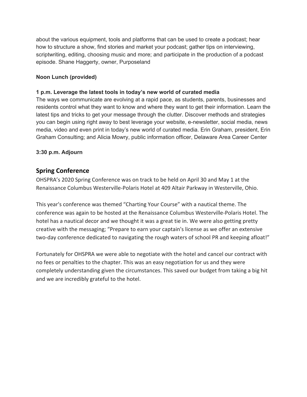about the various equipment, tools and platforms that can be used to create a podcast; hear how to structure a show, find stories and market your podcast; gather tips on interviewing, scriptwriting, editing, choosing music and more; and participate in the production of a podcast episode. Shane Haggerty, owner, Purposeland

#### **Noon Lunch (provided)**

#### **1 p.m. Leverage the latest tools in today's new world of curated media**

The ways we communicate are evolving at a rapid pace, as students, parents, businesses and residents control what they want to know and where they want to get their information. Learn the latest tips and tricks to get your message through the clutter. Discover methods and strategies you can begin using right away to best leverage your website, e-newsletter, social media, news media, video and even print in today's new world of curated media. Erin Graham, president, Erin Graham Consulting; and Alicia Mowry, public information officer, Delaware Area Career Center

#### **3:30 p.m. Adjourn**

## **Spring Conference**

OHSPRA's 2020 Spring Conference was on track to be held on April 30 and May 1 at the Renaissance Columbus Westerville-Polaris Hotel at 409 Altair Parkway in Westerville, Ohio.

This year's conference was themed "Charting Your Course" with a nautical theme. The conference was again to be hosted at the Renaissance Columbus Westerville-Polaris Hotel. The hotel has a nautical decor and we thought it was a great tie in. We were also getting pretty creative with the messaging; "Prepare to earn your captain's license as we offer an extensive two-day conference dedicated to navigating the rough waters of school PR and keeping afloat!"

Fortunately for OHSPRA we were able to negotiate with the hotel and cancel our contract with no fees or penalties to the chapter. This was an easy negotiation for us and they were completely understanding given the circumstances. This saved our budget from taking a big hit and we are incredibly grateful to the hotel.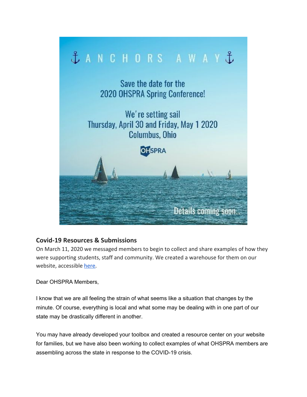

## **Covid-19 Resources & Submissions**

On March 11, 2020 we messaged members to begin to collect and share examples of how they were supporting students, staff and community. We created a warehouse for them on our website, accessible [here](https://www.ohspra.org/COVID-19Resources.aspx).

Dear OHSPRA Members,

I know that we are all feeling the strain of what seems like a situation that changes by the minute. Of course, everything is local and what some may be dealing with in one part of our state may be drastically different in another.

You may have already developed your toolbox and created a resource center on your website for families, but we have also been working to collect examples of what OHSPRA members are assembling across the state in response to the COVID-19 crisis.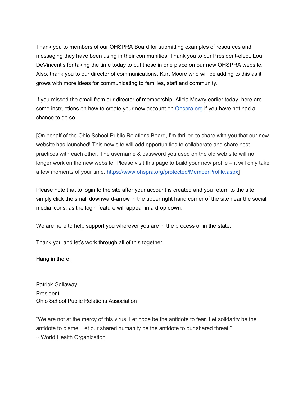Thank you to members of our OHSPRA Board for submitting examples of resources and messaging they have been using in their communities. Thank you to our President-elect, Lou DeVincentis for taking the time today to put these in one place on our new OHSPRA website. Also, thank you to our director of communications, Kurt Moore who will be adding to this as it grows with more ideas for communicating to families, staff and community.

If you missed the email from our director of membership, Alicia Mowry earlier today, here are some instructions on how to create your new account on [Ohspra.org](https://www.ohspra.org/) if you have not had a chance to do so.

[On behalf of the Ohio School Public Relations Board, I'm thrilled to share with you that our new website has launched! This new site will add opportunities to collaborate and share best practices with each other. The username & password you used on the old web site will no longer work on the new website. Please visit this page to build your new profile – it will only take a few moments of your time[.](https://www.ohspra.org/protected/MemberProfile.aspx) [https://www.ohspra.org/protected/MemberProfile.aspx\]](https://www.ohspra.org/protected/MemberProfile.aspx)

Please note that to login to the site after your account is created and you return to the site, simply click the small downward-arrow in the upper right hand corner of the site near the social media icons, as the login feature will appear in a drop down.

We are here to help support you wherever you are in the process or in the state.

Thank you and let's work through all of this together.

Hang in there,

Patrick Gallaway President Ohio School Public Relations Association

"We are not at the mercy of this virus. Let hope be the antidote to fear. Let solidarity be the antidote to blame. Let our shared humanity be the antidote to our shared threat." ~ World Health Organization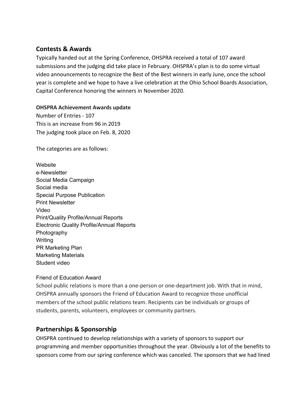## **Contests & Awards**

Typically handed out at the Spring Conference, OHSPRA received a total of 107 award submissions and the judging did take place in February. OHSPRA's plan is to do some virtual video announcements to recognize the Best of the Best winners in early June, once the school year is complete and we hope to have a live celebration at the Ohio School Boards Association, Capital Conference honoring the winners in November 2020.

#### **OHSPRA Achievement Awards update**

Number of Entries - 107 This is an increase from 96 in 2019 The judging took place on Feb. 8, 2020

The categories are as follows:

**Website** e-Newsletter Social Media Campaign Social media Special Purpose Publication Print Newsletter Video Print/Quality Profile/Annual Reports Electronic Quality Profile/Annual Reports Photography **Writing** PR Marketing Plan Marketing Materials Student video

## Friend of Education Award

School public relations is more than a one-person or one-department job. With that in mind, OHSPRA annually sponsors the Friend of Education Award to recognize those unofficial members of the school public relations team. Recipients can be individuals or groups of students, parents, volunteers, employees or community partners.

## **Partnerships & Sponsorship**

OHSPRA continued to develop relationships with a variety of sponsors to support our programming and member opportunities throughout the year. Obviously a lot of the benefits to sponsors come from our spring conference which was canceled. The sponsors that we had lined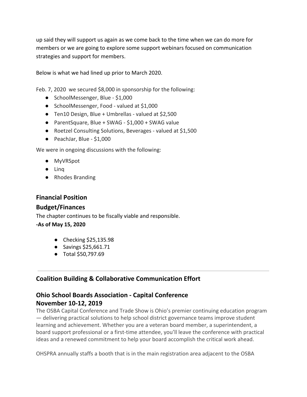up said they will support us again as we come back to the time when we can do more for members or we are going to explore some support webinars focused on communication strategies and support for members.

Below is what we had lined up prior to March 2020.

Feb. 7, 2020 we secured \$8,000 in sponsorship for the following:

- SchoolMessenger, Blue \$1,000
- SchoolMessenger, Food valued at \$1,000
- Ten10 Design, Blue + Umbrellas valued at \$2,500
- ParentSquare, Blue + SWAG \$1,000 + SWAG value
- Roetzel Consulting Solutions, Beverages valued at \$1,500
- PeachJar, Blue \$1,000

We were in ongoing discussions with the following:

- MyVRSpot
- Linq
- Rhodes Branding

## **Financial Position**

## **Budget/Finances**

The chapter continues to be fiscally viable and responsible.

#### **-As of May 15, 2020**

- Checking \$25,135.98
- Savings \$25,661.71
- Total \$50,797.69

# **Coalition Building & Collaborative Communication Effort**

# **Ohio School Boards Association - Capital Conference November 10-12, 2019**

The OSBA Capital Conference and Trade Show is Ohio's premier continuing education program — delivering practical solutions to help school district governance teams improve student learning and achievement. Whether you are a veteran board member, a superintendent, a board support professional or a first-time attendee, you'll leave the conference with practical ideas and a renewed commitment to help your board accomplish the critical work ahead.

OHSPRA annually staffs a booth that is in the main registration area adjacent to the OSBA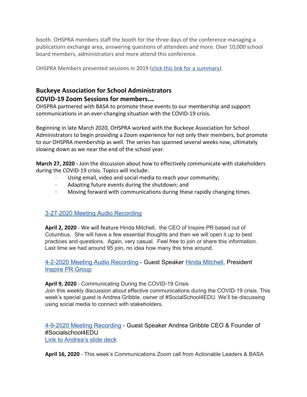booth. OHSPRA members staff the booth for the three days of the conference managing a publications exchange area, answering questions of attendees and more. Over 10,000 school board members, administrators and more attend this conference.

OHSPRA Members presented sessions in 2019 ([click this link for a summary\)](https://docs.google.com/document/d/1fB9RfKGpKeqJmM55KkdZ5KHkeqP9LKArGIojQVjZrGE/edit).

## **Buckeye Association for School Administrators COVID-19 Zoom Sessions for members**…

OHSPRA partnered with BASA to promote these events to our membership and support communications in an ever-changing situation with the COVID-19 crisis.

Beginning in late March 2020, OHSPRA worked with the Buckeye Association for School Administrators to begin providing a Zoom experience for not only their members, but promote to our OHSPRA membership as well. The series has spanned several weeks now, ultimately slowing down as we near the end of the school year.

**March 27, 2020 -** Join the discussion about how to effectively communicate with stakeholders during the COVID-19 crisis. Topics will include:

- Using email, video and social media to reach your community;
- Adapting future events during the shutdown; and
- · Moving forward with communications during these rapidly changing times.

# [3-27-2020 Meeting Audio Recording](https://drive.google.com/file/d/1mEiH6e0KVR5nlmPckceoVh-ApeWMvtbV/view?usp=sharing)

**April 2, 2020** - We will feature Hinda Mitchell, the CEO of Inspire PR based out of Columbus. She will have a few essential thoughts and then we will open it up to best practices and questions. Again, very casual. Feel free to join or share this information. Last time we had around 95 join, no idea how many this time around.

[4-2-2020 Meeting Audio Recording](https://drive.google.com/file/d/1DzZuvvePEUDI4L0j_LTCGK833b2HitbP/view?usp=sharing) - Guest Speaker [Hinda Mitchell,](mailto:Hinda@InspirePRGroup.com) President [Inspire PR Group](https://www.inspireprgroup.com/)

## **April 9, 2020** - Communicating During the COVID-19 Crisis

Join this weekly discussion about effective communications during the COVID-19 crisis. This week's special guest is Andrea Gribble, owner of #SocialSchool4EDU. We'll be discussing using social media to connect with stakeholders.

[4-9-2020 Meeting Recording](https://zoom.us/rec/share/uch4cZvJ8VtOS6Pjw2r5faliA8O0aaa80CYY8voEyE6UmNWzyh4mCROwbOgMT5p8) - Guest Speaker Andrea Gribble CEO & Founder of #Socialschool4EDU [Link to Andrea's slide deck](https://docs.google.com/presentation/d/188CH7VkGoPN-NQVFMQVJKryJLrkCPh0awd6ZCQXJdlM/edit)

**April 16, 2020** - This week's Communications Zoom call from Actionable Leaders & BASA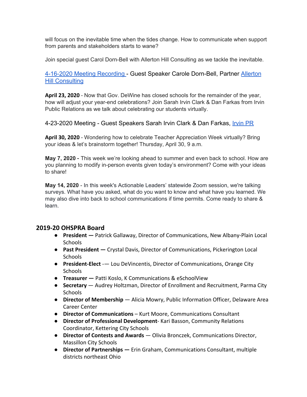will focus on the inevitable time when the tides change. How to communicate when support from parents and stakeholders starts to wane?

Join special guest Carol Dorn-Bell with Allerton Hill Consulting as we tackle the inevitable.

## [4-16-2020 Meeting Recording](https://zoom.us/rec/play/7pYqcu2t-2k3H4LGtQSDBfZ9W9S6KqmshnRK_vtcykazBXkDYFOmNbEbZ-qiM-CDH4SL1BzbwYcHD1rc?continueMode=true&_x_zm_rtaid=zNcNvH1kTpWncV8OaGaK-A.1587060014048.e407a58859367c7629ca2250937181d2&_x_zm_rhtaid=332) - Guest Speaker Carole Dorn-Bell, Partner [Allerton](https://allerton-hill.com/) [Hill Consulting](https://allerton-hill.com/)

**April 23, 2020** - Now that Gov. DeWine has closed schools for the remainder of the year, how will adjust your year-end celebrations? Join Sarah Irvin Clark & Dan Farkas from Irvin Public Relations as we talk about celebrating our students virtually.

4-23-2020 Meeting - Guest Speakers Sarah Irvin Clark & Dan Farkas, [Irvin PR](https://irvinpr.com/)

**April 30, 2020** - Wondering how to celebrate Teacher Appreciation Week virtually? Bring your ideas & let's brainstorm together! Thursday, April 30, 9 a.m.

**May 7, 2020** - This week we're looking ahead to summer and even back to school. How are you planning to modify in-person events given today's environment? Come with your ideas to share!

**May 14, 2020** - In this week's Actionable Leaders' statewide Zoom session, we're talking surveys. What have you asked, what do you want to know and what have you learned. We may also dive into back to school communications if time permits. Come ready to share & learn.

## **2019-20 OHSPRA Board**

- **President** Patrick Gallaway, Director of Communications, New Albany-Plain Local Schools
- **Past President** Crystal Davis, Director of Communications, Pickerington Local **Schools**
- **President-Elect** -— Lou DeVincentis, Director of Communications, Orange City **Schools**
- **Treasurer** Patti Koslo, K Communications & eSchoolView
- **Secretary** Audrey Holtzman, Director of Enrollment and Recruitment, Parma City **Schools**
- **Director of Membership** Alicia Mowry, Public Information Officer, Delaware Area Career Center
- **Director of Communications** Kurt Moore, Communications Consultant
- **Director of Professional Development** Kari Basson, Community Relations Coordinator, Kettering City Schools
- **● Director of Contests and Awards** Olivia Bronczek, Communications Director, Massillon City Schools
- **● Director of Partnerships** Erin Graham, Communications Consultant, multiple districts northeast Ohio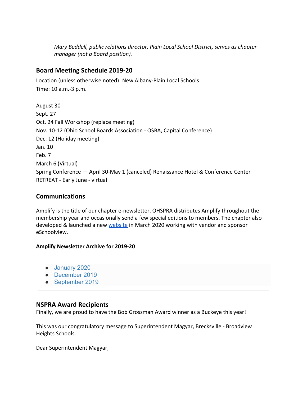*Mary Beddell, public relations director, Plain Local School District, serves as chapter manager (not a Board position).*

## **Board Meeting Schedule 2019-20**

Location (unless otherwise noted): New Albany-Plain Local Schools Time: 10 a.m.-3 p.m.

August 30 Sept. 27 Oct. 24 Fall Workshop (replace meeting) Nov. 10-12 (Ohio School Boards Association - OSBA, Capital Conference) Dec. 12 (Holiday meeting) Jan. 10 Feb. 7 March 6 (Virtual) Spring Conference — April 30-May 1 (canceled) Renaissance Hotel & Conference Center RETREAT - Early June - virtual

## **Communications**

Amplify is the title of our chapter e-newsletter. OHSPRA distributes Amplify throughout the membership year and occasionally send a few special editions to members. The chapter also developed & launched a new [website](https://www.ohspra.org/Default.aspx) in March 2020 working with vendor and sponsor eSchoolview.

#### **Amplify Newsletter Archive for 2019-20**

- [January 2020](https://us9.campaign-archive.com/?e=[UNIQID]&u=ccabeeca50395cb945609e3e9&id=b7cfff5fe6)
- [December 2019](https://us9.campaign-archive.com/?e=[UNIQID]&u=ccabeeca50395cb945609e3e9&id=4004cd7f75)
- [September 2019](https://us9.campaign-archive.com/?e=[UNIQID]&u=ccabeeca50395cb945609e3e9&id=3b636c21e5)

## **NSPRA Award Recipients**

Finally, we are proud to have the Bob Grossman Award winner as a Buckeye this year!

This was our congratulatory message to Superintendent Magyar, Brecksville - Broadview Heights Schools.

Dear Superintendent Magyar,